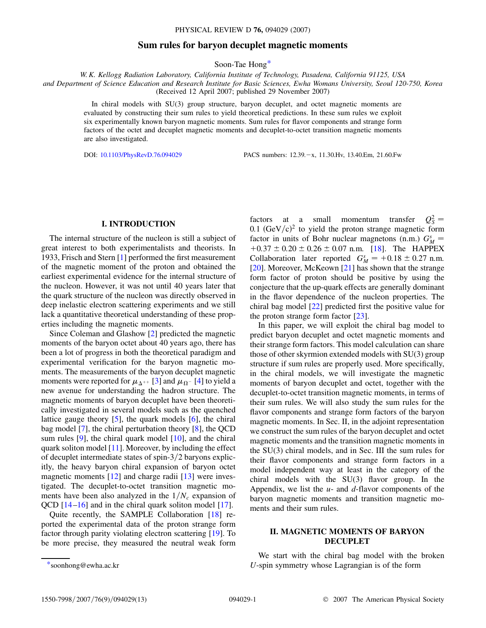## **Sum rules for baryon decuplet magnetic moments**

Soon-Tae Hon[g\\*](#page-0-0)

<span id="page-0-1"></span>*W. K. Kellogg Radiation Laboratory, California Institute of Technology, Pasadena, California 91125, USA and Department of Science Education and Research Institute for Basic Sciences, Ewha Womans University, Seoul 120-750, Korea* (Received 12 April 2007; published 29 November 2007)

> In chiral models with SU(3) group structure, baryon decuplet, and octet magnetic moments are evaluated by constructing their sum rules to yield theoretical predictions. In these sum rules we exploit six experimentally known baryon magnetic moments. Sum rules for flavor components and strange form factors of the octet and decuplet magnetic moments and decuplet-to-octet transition magnetic moments are also investigated.

DOI: [10.1103/PhysRevD.76.094029](http://dx.doi.org/10.1103/PhysRevD.76.094029) PACS numbers: 12.39. - x, 11.30.Hv, 13.40.Em, 21.60.Fw

### **I. INTRODUCTION**

The internal structure of the nucleon is still a subject of great interest to both experimentalists and theorists. In 1933, Frisch and Stern [[1](#page-12-0)] performed the first measurement of the magnetic moment of the proton and obtained the earliest experimental evidence for the internal structure of the nucleon. However, it was not until 40 years later that the quark structure of the nucleon was directly observed in deep inelastic electron scattering experiments and we still lack a quantitative theoretical understanding of these properties including the magnetic moments.

Since Coleman and Glashow [[2](#page-12-1)] predicted the magnetic moments of the baryon octet about 40 years ago, there has been a lot of progress in both the theoretical paradigm and experimental verification for the baryon magnetic moments. The measurements of the baryon decuplet magnetic moments were reported for  $\mu_{\Delta^{++}}$  [[3](#page-12-2)] and  $\mu_{\Omega^-}$  [\[4](#page-12-3)] to yield a new avenue for understanding the hadron structure. The magnetic moments of baryon decuplet have been theoretically investigated in several models such as the quenched lattice gauge theory  $[5]$ , the quark models  $[6]$ , the chiral bag model [\[7](#page-12-6)], the chiral perturbation theory [\[8\]](#page-12-7), the QCD sum rules  $[9]$  $[9]$  $[9]$ , the chiral quark model  $[10]$ , and the chiral quark soliton model [\[11\]](#page-12-10). Moreover, by including the effect of decuplet intermediate states of spin-3/2 baryons explicitly, the heavy baryon chiral expansion of baryon octet magnetic moments  $[12]$  $[12]$  $[12]$  and charge radii  $[13]$  were investigated. The decuplet-to-octet transition magnetic moments have been also analyzed in the  $1/N_c$  expansion of QCD [\[14](#page-12-13)[–16\]](#page-12-14) and in the chiral quark soliton model [[17](#page-12-15)].

Quite recently, the SAMPLE Collaboration [[18](#page-12-16)] reported the experimental data of the proton strange form factor through parity violating electron scattering [[19](#page-12-17)]. To be more precise, they measured the neutral weak form

factors at a small momentum transfer  $Q_S^2 =$  $0.1$  (GeV/c)<sup>2</sup> to yield the proton strange magnetic form factor in units of Bohr nuclear magnetons (n.m.)  $G_M^s$  $+0.37 \pm 0.20 \pm 0.26 \pm 0.07$  n.m. [[18\]](#page-12-16). The HAPPEX Collaboration later reported  $G_M^s = +0.18 \pm 0.27$  n.m. [\[20\]](#page-12-18). Moreover, McKeown [\[21\]](#page-12-19) has shown that the strange form factor of proton should be positive by using the conjecture that the up-quark effects are generally dominant in the flavor dependence of the nucleon properties. The chiral bag model [[22](#page-12-20)] predicted first the positive value for the proton strange form factor [[23](#page-12-21)].

In this paper, we will exploit the chiral bag model to predict baryon decuplet and octet magnetic moments and their strange form factors. This model calculation can share those of other skyrmion extended models with SU(3) group structure if sum rules are properly used. More specifically, in the chiral models, we will investigate the magnetic moments of baryon decuplet and octet, together with the decuplet-to-octet transition magnetic moments, in terms of their sum rules. We will also study the sum rules for the flavor components and strange form factors of the baryon magnetic moments. In Sec. II, in the adjoint representation we construct the sum rules of the baryon decuplet and octet magnetic moments and the transition magnetic moments in the SU(3) chiral models, and in Sec. III the sum rules for their flavor components and strange form factors in a model independent way at least in the category of the chiral models with the SU(3) flavor group. In the Appendix, we list the *u*- and *d*-flavor components of the baryon magnetic moments and transition magnetic moments and their sum rules.

## **II. MAGNETIC MOMENTS OF BARYON DECUPLET**

We start with the chiral bag model with the broken [\\*s](#page-0-1)oonhong@ewha.ac.kr *U*-spin symmetry whose Lagrangian is of the form

<span id="page-0-0"></span>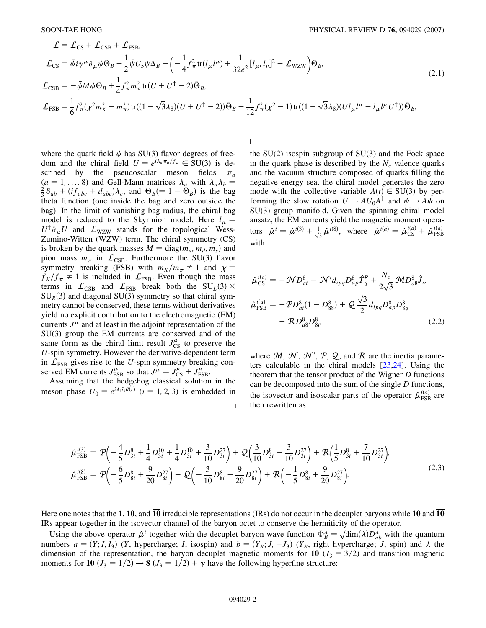$\overline{c}$ 

$$
\mathcal{L} = \mathcal{L}_{CS} + \mathcal{L}_{CSB} + \mathcal{L}_{FSB},
$$
\n
$$
\mathcal{L}_{CS} = \bar{\psi} i \gamma^{\mu} \partial_{\mu} \psi \Theta_{B} - \frac{1}{2} \bar{\psi} U_{5} \psi \Delta_{B} + \left( -\frac{1}{4} f_{\pi}^{2} \text{tr}(l_{\mu} l^{\mu}) + \frac{1}{32 e^{2}} [l_{\mu}, l_{\nu}]^{2} + \mathcal{L}_{WZW} \right) \bar{\Theta}_{B},
$$
\n
$$
\mathcal{L}_{CSB} = -\bar{\psi} M \psi \Theta_{B} + \frac{1}{4} f_{\pi}^{2} m_{\pi}^{2} \text{tr}(U + U^{\dagger} - 2) \bar{\Theta}_{B},
$$
\n
$$
\mathcal{L}_{FSB} = \frac{1}{6} f_{\pi}^{2} (\chi^{2} m_{K}^{2} - m_{\pi}^{2}) \text{tr}((1 - \sqrt{3} \lambda_{8})(U + U^{\dagger} - 2)) \bar{\Theta}_{B} - \frac{1}{12} f_{\pi}^{2} (\chi^{2} - 1) \text{tr}((1 - \sqrt{3} \lambda_{8})(Ul_{\mu} l^{\mu} + l_{\mu} l^{\mu} U^{\dagger})) \bar{\Theta}_{B},
$$
\n(2.1)

where the quark field  $\psi$  has SU(3) flavor degrees of freedom and the chiral field  $U = e^{i\lambda_a \pi_a/f_\pi} \in SU(3)$  is described by the pseudoscalar meson fields  $\pi_a$  $(a = 1, \ldots, 8)$  and Gell-Mann matrices  $\lambda_a$  with  $\lambda_a \lambda_b =$  $\frac{2}{3}\delta_{ab} + (if_{abc} + d_{abc})\lambda_c$ , and  $\Theta_B = 1 - \tilde{\Theta}_B$ ) is the bag theta function (one inside the bag and zero outside the bag). In the limit of vanishing bag radius, the chiral bag model is reduced to the Skyrmion model. Here  $l_{\mu}$  =  $U^{\dagger} \partial_{\mu} U$  and  $\mathcal{L}_{\text{WZW}}$  stands for the topological Wess-Zumino-Witten (WZW) term. The chiral symmetry (CS) is broken by the quark masses  $M = diag(m_u, m_d, m_s)$  and pion mass  $m_{\pi}$  in  $\mathcal{L}_{\text{CSB}}$ . Furthermore the SU(3) flavor symmetry breaking (FSB) with  $m_K/m_\pi \neq 1$  and  $\chi =$  $f_K/f_\pi \neq 1$  is included in  $\mathcal{L}_{\text{FSB}}$ . Even though the mass terms in  $\mathcal{L}_{CSB}$  and  $\mathcal{L}_{FSB}$  break both the SU<sub>L</sub>(3)  $\times$  $SU_R(3)$  and diagonal SU(3) symmetry so that chiral symmetry cannot be conserved, these terms without derivatives yield no explicit contribution to the electromagnetic (EM) currents  $J^{\mu}$  and at least in the adjoint representation of the SU(3) group the EM currents are conserved and of the same form as the chiral limit result  $J_{\text{CS}}^{\mu}$  to preserve the *U*-spin symmetry. However the derivative-dependent term in  $\mathcal{L}_{\text{FSB}}$  gives rise to the *U*-spin symmetry breaking conserved EM currents  $J_{\text{FSB}}^{\mu}$  so that  $J^{\mu} = J_{\text{CS}}^{\mu} + J_{\text{FSB}}^{\mu}$ .

Assuming that the hedgehog classical solution in the meson phase  $U_0 = e^{i\lambda_i \hat{r}_i \theta(r)}$  (*i* = 1, 2, 3) is embedded in the SU(2) isospin subgroup of SU(3) and the Fock space in the quark phase is described by the  $N_c$  valence quarks and the vacuum structure composed of quarks filling the negative energy sea, the chiral model generates the zero mode with the collective variable  $A(t) \in SU(3)$  by performing the slow rotation  $U \rightarrow A U_0 A^{\dagger}$  and  $\psi \rightarrow A \psi$  on SU(3) group manifold. Given the spinning chiral model ansatz, the EM currents yield the magnetic moment operators  $\hat{\mu}^i = \hat{\mu}^{i(3)} + \frac{1}{\sqrt{3}} \hat{\mu}^{i(8)}$ , where  $\hat{\mu}^{i(a)} = \hat{\mu}_{\text{CS}}^{i(a)} + \hat{\mu}_{\text{FSB}}^{i(a)}$ with

<span id="page-1-0"></span>
$$
\hat{\mu}_{\text{CS}}^{i(a)} = -\mathcal{N}D_{ai}^8 - \mathcal{N}'d_{ipq}D_{ap}^8 \hat{T}_q^R + \frac{N_c}{2\sqrt{3}} \mathcal{M}D_{a8}^8 \hat{J}_i,
$$
\n
$$
\hat{\mu}_{\text{FSB}}^{i(a)} = -\mathcal{P}D_{ai}^8(1 - D_{88}^8) + \mathcal{Q}\frac{\sqrt{3}}{2}d_{ipq}D_{ap}^8 D_{8q}^8 + \mathcal{R}D_{a8}^8 D_{8i}^8, \tag{2.2}
$$

where  $M, N, N', P, Q$ , and R are the inertia parameters calculable in the chiral models [\[23](#page-12-21)[,24\]](#page-12-22). Using the theorem that the tensor product of the Wigner *D* functions can be decomposed into the sum of the single *D* functions, the isovector and isoscalar parts of the operator  $\hat{\mu}_{\text{FSB}}^{i(a)}$  are then rewritten as

$$
\hat{\mu}_{\text{FSB}}^{i(3)} = \mathcal{P}\left(-\frac{4}{5}D_{3i}^8 + \frac{1}{4}D_{3i}^{10} + \frac{1}{4}D_{3i}^{\bar{10}} + \frac{3}{10}D_{3i}^{27}\right) + \mathcal{Q}\left(\frac{3}{10}D_{3i}^8 - \frac{3}{10}D_{3i}^{27}\right) + \mathcal{R}\left(\frac{1}{5}D_{3i}^8 + \frac{7}{10}D_{3i}^{27}\right),
$$
\n
$$
\hat{\mu}_{\text{FSB}}^{i(8)} = \mathcal{P}\left(-\frac{6}{5}D_{8i}^8 + \frac{9}{20}D_{8i}^{27}\right) + \mathcal{Q}\left(-\frac{3}{10}D_{8i}^8 - \frac{9}{20}D_{8i}^{27}\right) + \mathcal{R}\left(-\frac{1}{5}D_{8i}^8 + \frac{9}{20}D_{8i}^{27}\right).
$$
\n(2.3)

Here one notes that the **1**, **10**, and **10** irreducible representations (IRs) do not occur in the decuplet baryons while **10** and **10** IRs appear together in the isovector channel of the baryon octet to conserve the hermiticity of the operator.

Using the above operator  $\hat{\mu}^i$  together with the decuplet baryon wave function  $\Phi_B^{\lambda} = \sqrt{\dim(\lambda)} D_{ab}^{\lambda}$  with the quantum numbers  $a = (Y; I, I_3)$  (*Y*, hypercharge; *I*, isospin) and  $b = (Y_R; J, -J_3)$  ( $Y_R$ , right hypercharge; *J*, spin) and  $\lambda$  the dimension of the representation, the baryon decuplet magnetic moments for 10 ( $J_3 = 3/2$ ) and transition magnetic moments for **10**  $(J_3 = 1/2) \rightarrow 8$   $(J_3 = 1/2) + \gamma$  have the following hyperfine structure: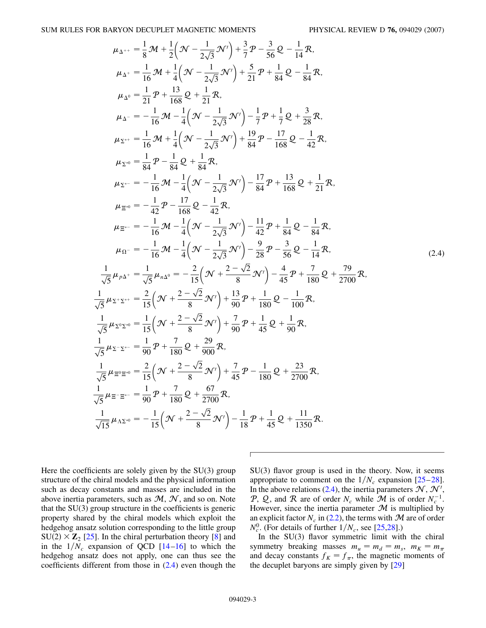<span id="page-2-0"></span>
$$
\mu_{\Delta^{++}} = \frac{1}{8} \mathcal{M} + \frac{1}{2} \Big( \mathcal{N} - \frac{1}{2\sqrt{3}} \mathcal{N}' \Big) + \frac{3}{7} \mathcal{P} - \frac{3}{56} \mathcal{Q} - \frac{1}{14} \mathcal{R},
$$
  
\n
$$
\mu_{\Delta^{+}} = \frac{1}{16} \mathcal{M} + \frac{1}{4} \Big( \mathcal{N} - \frac{1}{2\sqrt{3}} \mathcal{N}' \Big) + \frac{5}{21} \mathcal{P} + \frac{1}{84} \mathcal{Q} - \frac{1}{84} \mathcal{R},
$$
  
\n
$$
\mu_{\Delta^{0}} = \frac{1}{21} \mathcal{P} + \frac{13}{168} \mathcal{Q} + \frac{1}{21} \mathcal{R},
$$
  
\n
$$
\mu_{\Delta^{-}} = -\frac{1}{16} \mathcal{M} - \frac{1}{4} \Big( \mathcal{N} - \frac{1}{2\sqrt{3}} \mathcal{N}' \Big) - \frac{1}{7} \mathcal{P} + \frac{1}{7} \mathcal{Q} + \frac{3}{28} \mathcal{R},
$$
  
\n
$$
\mu_{\Sigma^{++}} = \frac{1}{16} \mathcal{M} + \frac{1}{4} \Big( \mathcal{N} - \frac{1}{2\sqrt{3}} \mathcal{N}' \Big) + \frac{19}{84} \mathcal{P} - \frac{17}{168} \mathcal{Q} - \frac{1}{42} \mathcal{R},
$$
  
\n
$$
\mu_{\Sigma^{++}} = -\frac{1}{16} \mathcal{M} - \frac{1}{4} \Big( \mathcal{N} - \frac{1}{2\sqrt{3}} \mathcal{N}' \Big) - \frac{17}{84} \mathcal{P} + \frac{13}{168} \mathcal{Q} + \frac{1}{21} \mathcal{R},
$$
  
\n
$$
\mu_{\Xi^{0}} = -\frac{1}{42} \mathcal{P} - \frac{17}{168} \mathcal{Q} - \frac{1}{42} \mathcal{R},
$$
  
\n
$$
\mu_{\Xi^{0}} = -\frac{1}{16} \mathcal{M} - \frac{1}{4} \Big( \mathcal{
$$

Here the coefficients are solely given by the SU(3) group structure of the chiral models and the physical information such as decay constants and masses are included in the above inertia parameters, such as  $M, \mathcal{N}$ , and so on. Note that the SU(3) group structure in the coefficients is generic property shared by the chiral models which exploit the hedgehog ansatz solution corresponding to the little group  $SU(2) \times Z_2$  [[25](#page-12-23)]. In the chiral perturbation theory [\[8](#page-12-7)] and in the  $1/N_c$  expansion of QCD  $[14–16]$  $[14–16]$  $[14–16]$  $[14–16]$  $[14–16]$  to which the hedgehog ansatz does not apply, one can thus see the coefficients different from those in ([2.4](#page-2-0)) even though the

1

1

SU(3) flavor group is used in the theory. Now, it seems appropriate to comment on the  $1/N_c$  expansion  $[25-28]$  $[25-28]$ . In the above relations ([2.4](#page-2-0)), the inertia parameters  $\mathcal{N}, \mathcal{N}',$ P, Q, and R are of order  $N_c$  while M is of order  $N_c^{-1}$ . However, since the inertia parameter  $M$  is multiplied by an explicit factor  $N_c$  in ([2.2](#page-1-0)), the terms with  $\mathcal M$  are of order  $N_c^0$ . (For details of further  $1/N_c$ , see [[25](#page-12-23),[28](#page-12-24)].)

In the SU(3) flavor symmetric limit with the chiral symmetry breaking masses  $m_u = m_d = m_s$ ,  $m_K = m_\pi$ and decay constants  $f_K = f_\pi$ , the magnetic moments of the decuplet baryons are simply given by [\[29](#page-12-25)]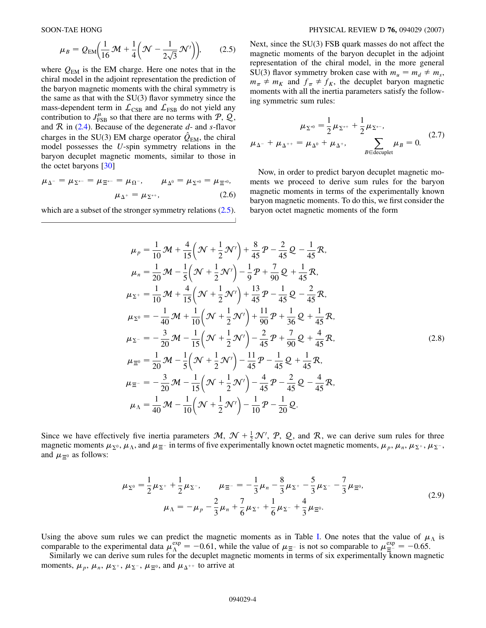$$
\mu_B = Q_{\text{EM}} \left( \frac{1}{16} \mathcal{M} + \frac{1}{4} \left( \mathcal{N} - \frac{1}{2\sqrt{3}} \mathcal{N}' \right) \right), \tag{2.5}
$$

<span id="page-3-0"></span>where  $Q_{EM}$  is the EM charge. Here one notes that in the chiral model in the adjoint representation the prediction of the baryon magnetic moments with the chiral symmetry is the same as that with the  $SU(3)$  flavor symmetry since the mass-dependent term in  $\mathcal{L}_{CSB}$  and  $\mathcal{L}_{FSB}$  do not yield any contribution to  $J_{\text{FSB}}^{\mu}$  so that there are no terms with  $\mathcal{P}, \mathcal{Q},$ and R in [\(2.4\)](#page-2-0). Because of the degenerate *d*- and *s*-flavor charges in the SU(3) EM charge operator  $\hat{Q}_{\text{EM}}$ , the chiral model possesses the *U*-spin symmetry relations in the baryon decuplet magnetic moments, similar to those in the octet baryons [[30](#page-12-26)]

$$
\mu_{\Delta^{-}} = \mu_{\Sigma^{*-}} = \mu_{\Xi^{*-}} = \mu_{\Omega^{-}}, \qquad \mu_{\Delta^{0}} = \mu_{\Sigma^{*0}} = \mu_{\Xi^{*0}},
$$

$$
\mu_{\Delta^{+}} = \mu_{\Sigma^{*+}}, \qquad (2.6)
$$

which are a subset of the stronger symmetry relations  $(2.5)$ .

Next, since the SU(3) FSB quark masses do not affect the magnetic moments of the baryon decuplet in the adjoint representation of the chiral model, in the more general SU(3) flavor symmetry broken case with  $m_u = m_d \neq m_s$ ,  $m_{\pi} \neq m_K$  and  $f_{\pi} \neq f_K$ , the decuplet baryon magnetic moments with all the inertia parameters satisfy the following symmetric sum rules:

$$
\mu_{\Sigma^{*0}} = \frac{1}{2}\mu_{\Sigma^{*+}} + \frac{1}{2}\mu_{\Sigma^{*-}},
$$
  

$$
\mu_{\Delta^{-}} + \mu_{\Delta^{++}} = \mu_{\Delta^{0}} + \mu_{\Delta^{+}},
$$

$$
\sum_{B \in \text{decuplet}} \mu_B = 0.
$$
 (2.7)

Now, in order to predict baryon decuplet magnetic moments we proceed to derive sum rules for the baryon magnetic moments in terms of the experimentally known baryon magnetic moments. To do this, we first consider the baryon octet magnetic moments of the form

$$
\mu_{p} = \frac{1}{10} \mathcal{M} + \frac{4}{15} \left( \mathcal{N} + \frac{1}{2} \mathcal{N}' \right) + \frac{8}{45} \mathcal{P} - \frac{2}{45} \mathcal{Q} - \frac{1}{45} \mathcal{R},
$$
\n
$$
\mu_{n} = \frac{1}{20} \mathcal{M} - \frac{1}{5} \left( \mathcal{N} + \frac{1}{2} \mathcal{N}' \right) - \frac{1}{9} \mathcal{P} + \frac{7}{90} \mathcal{Q} + \frac{1}{45} \mathcal{R},
$$
\n
$$
\mu_{\Sigma^{+}} = \frac{1}{10} \mathcal{M} + \frac{4}{15} \left( \mathcal{N} + \frac{1}{2} \mathcal{N}' \right) + \frac{13}{45} \mathcal{P} - \frac{1}{45} \mathcal{Q} - \frac{2}{45} \mathcal{R},
$$
\n
$$
\mu_{\Sigma^{0}} = -\frac{1}{40} \mathcal{M} + \frac{1}{10} \left( \mathcal{N} + \frac{1}{2} \mathcal{N}' \right) + \frac{11}{90} \mathcal{P} + \frac{1}{36} \mathcal{Q} + \frac{1}{45} \mathcal{R},
$$
\n
$$
\mu_{\Sigma^{-}} = -\frac{3}{20} \mathcal{M} - \frac{1}{15} \left( \mathcal{N} + \frac{1}{2} \mathcal{N}' \right) - \frac{2}{45} \mathcal{P} + \frac{7}{90} \mathcal{Q} + \frac{4}{45} \mathcal{R},
$$
\n
$$
\mu_{\Xi^{0}} = \frac{1}{20} \mathcal{M} - \frac{1}{5} \left( \mathcal{N} + \frac{1}{2} \mathcal{N}' \right) - \frac{11}{45} \mathcal{P} - \frac{1}{45} \mathcal{Q} + \frac{1}{45} \mathcal{R},
$$
\n
$$
\mu_{\Xi^{-}} = -\frac{3}{20} \mathcal{M} - \frac{1}{15} \left( \mathcal{N} + \frac{1}{2} \mathcal{N}' \right) - \frac{4}{45} \mathcal{P} - \frac{2}{45} \mathcal{Q} - \frac{4
$$

<span id="page-3-1"></span>Since we have effectively five inertia parameters  $M$ ,  $\mathcal{N} + \frac{1}{2}\mathcal{N}'$ ,  $\mathcal{P}$ ,  $\mathcal{Q}$ , and  $\mathcal{R}$ , we can derive sum rules for three magnetic moments  $\mu_{\Sigma^0}, \mu_{\Lambda}$ , and  $\mu_{\Xi^-}$  in terms of five experimentally known octet magnetic moments,  $\mu_p, \mu_n, \mu_{\Sigma^+}, \mu_{\Sigma^-}$ , and  $\mu_{\pi^0}$  as follows:

$$
\mu_{\Sigma^0} = \frac{1}{2}\mu_{\Sigma^+} + \frac{1}{2}\mu_{\Sigma^-}, \qquad \mu_{\Xi^-} = -\frac{1}{3}\mu_n - \frac{8}{3}\mu_{\Sigma^+} - \frac{5}{3}\mu_{\Sigma^-} - \frac{7}{3}\mu_{\Xi^0}, \n\mu_{\Lambda} = -\mu_p - \frac{2}{3}\mu_n + \frac{7}{6}\mu_{\Sigma^+} + \frac{1}{6}\mu_{\Sigma^-} + \frac{4}{3}\mu_{\Xi^0}.
$$
\n(2.9)

Using the above sum rules we can predict the magnetic moments as in Table [I](#page-5-0). One notes that the value of  $\mu_A$  is comparable to the experimental data  $\mu_{\Lambda}^{exp} = -0.61$ , while the value of  $\mu_{\Xi}$ - is not so comparable to  $\mu_{\Xi}^{exp} = -0.65$ .

Similarly we can derive sum rules for the decuplet magnetic moments in terms of six experimentally known magnetic moments,  $\mu_p$ ,  $\mu_n$ ,  $\mu_{\Sigma^+}$ ,  $\mu_{\Sigma^-}$ ,  $\mu_{\Xi^0}$ , and  $\mu_{\Delta^{++}}$  to arrive at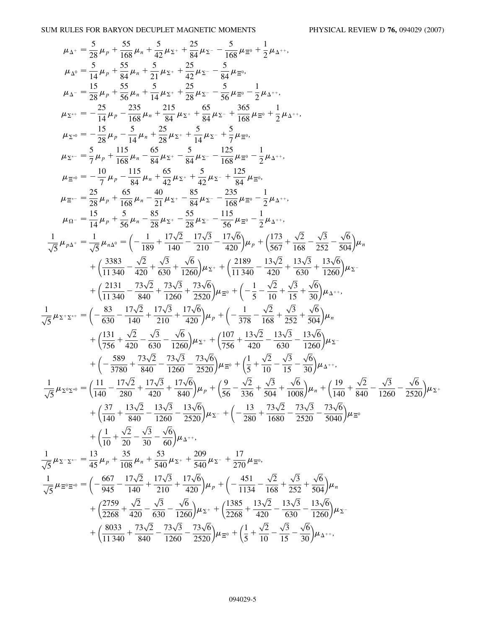SUM RULES FOR BARYON DECUPLET MAGNETIC MOMENTS PHYSICAL REVIEW D **76,** 094029 (2007)

$$
\mu_{\Delta^*} = \frac{5}{28}\mu_p + \frac{55}{168}\mu_x + \frac{5}{21}\mu_z + \frac{25}{84}\mu_z - \frac{5}{168}\mu_{\Xi^0} + \frac{1}{2}\mu_{\Delta^{++}},
$$
\n
$$
\mu_{\Delta^0} = \frac{5}{14}\mu_p + \frac{55}{84}\mu_a + \frac{5}{21}\mu_z + \frac{25}{42}\mu_z - \frac{5}{84}\mu_{\Xi^0},
$$
\n
$$
\mu_{\Delta^*} = -\frac{15}{28}\mu_p + \frac{55}{168}\mu_a + \frac{5}{14}\mu_z + \frac{25}{28}\mu_z - \frac{5}{28}\mu_z - \frac{3}{2}\mu_{\Delta^{++}},
$$
\n
$$
\mu_{\Sigma^*} = -\frac{25}{14}\mu_p - \frac{25}{168}\mu_a + \frac{215}{84}\mu_z + \frac{5}{84}\mu_z + \frac{365}{168}\mu_{\Xi^0} + \frac{1}{2}\mu_{\Delta^{++}},
$$
\n
$$
\mu_{\Sigma^0} = -\frac{15}{28}\mu_p + \frac{115}{168}\mu_a + \frac{25}{28}\mu_z + \frac{5}{14}\mu_z + \frac{5}{7}\mu_{\Xi^0},
$$
\n
$$
\mu_{\Xi^0} = -\frac{7}{7}\mu_p - \frac{115}{84}\mu_a + \frac{45}{48}\mu_z + \frac{5}{48}\mu_z - \frac{125}{168}\mu_{\Xi^0} - \frac{1}{2}\mu_{\Delta^{++}},
$$
\n
$$
\mu_{\Xi^0} = -\frac{7}{7}\mu_p - \frac{115}{84}\mu_a + \frac{45}{48}\mu_z - \frac{5}{84}\mu_z - \frac{125}{168}\mu_{\Xi^0} - \frac{1}{2}\mu_{\Delta^{++}},
$$
\n
$$
\mu_{\Xi^0} = \frac{25}{28}\mu_p + \frac{65}{168}\mu_a - \frac{40}{21}\mu_z - \frac{83}{84}\mu_z - \frac{235}{168}\mu_{\Xi^0} - \frac{1}{2}\mu_{\Delta^{++}},
$$
\n
$$
\mu_{\Xi^0} = \frac{15
$$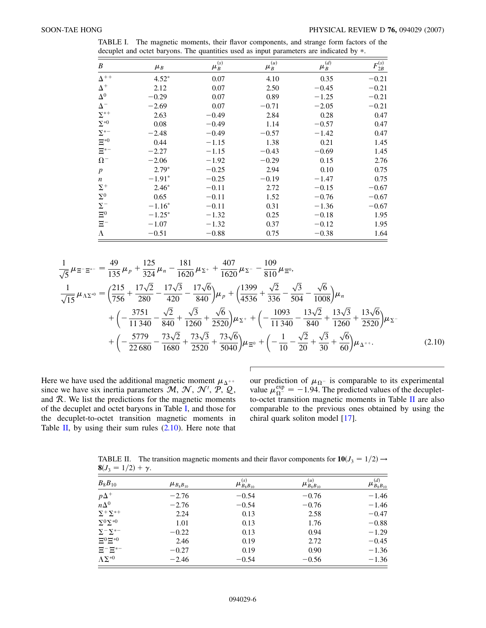| B                | $\mu_{\scriptscriptstyle B}$ | $\mu_B^{(s)}$ | $\mu_B^{(u)}$ | $\mu_B^{(d)}$ | $F_{2B}^{(s)}$ |
|------------------|------------------------------|---------------|---------------|---------------|----------------|
| $\Delta^{++}$    | $4.52*$                      | 0.07          | 4.10          | 0.35          | $-0.21$        |
| $\Delta^+$       | 2.12                         | 0.07          | 2.50          | $-0.45$       | $-0.21$        |
| $\Delta^0$       | $-0.29$                      | 0.07          | 0.89          | $-1.25$       | $-0.21$        |
| $\Delta^-$       | $-2.69$                      | 0.07          | $-0.71$       | $-2.05$       | $-0.21$        |
| $\Sigma^{*+}$    | 2.63                         | $-0.49$       | 2.84          | 0.28          | 0.47           |
| $\Sigma^{*0}$    | 0.08                         | $-0.49$       | 1.14          | $-0.57$       | 0.47           |
| $\Sigma^{*-}$    | $-2.48$                      | $-0.49$       | $-0.57$       | $-1.42$       | 0.47           |
| $\Xi^{*0}$       | 0.44                         | $-1.15$       | 1.38          | 0.21          | 1.45           |
| $\Xi^{*-}$       | $-2.27$                      | $-1.15$       | $-0.43$       | $-0.69$       | 1.45           |
| $\Omega^-$       | $-2.06$                      | $-1.92$       | $-0.29$       | 0.15          | 2.76           |
| $\boldsymbol{p}$ | $2.79*$                      | $-0.25$       | 2.94          | 0.10          | 0.75           |
| $\boldsymbol{n}$ | $-1.91*$                     | $-0.25$       | $-0.19$       | $-1.47$       | 0.75           |
| $\Sigma^+$       | $2.46*$                      | $-0.11$       | 2.72          | $-0.15$       | $-0.67$        |
| $\Sigma^0$       | 0.65                         | $-0.11$       | 1.52          | $-0.76$       | $-0.67$        |
| $\Sigma^-$       | $-1.16*$                     | $-0.11$       | 0.31          | $-1.36$       | $-0.67$        |
| $\Xi^0$          | $-1.25*$                     | $-1.32$       | 0.25          | $-0.18$       | 1.95           |
| $\Xi^-$          | $-1.07$                      | $-1.32$       | 0.37          | $-0.12$       | 1.95           |
| $\Lambda$        | $-0.51$                      | $-0.88$       | 0.75          | $-0.38$       | 1.64           |

<span id="page-5-0"></span>TABLE I. The magnetic moments, their flavor components, and strange form factors of the decuplet and octet baryons. The quantities used as input parameters are indicated by  $*$ .

<span id="page-5-2"></span>
$$
\frac{1}{\sqrt{5}}\mu_{\Xi^{-\Xi^{*-}}} = \frac{49}{135}\mu_{p} + \frac{125}{324}\mu_{n} - \frac{181}{1620}\mu_{\Sigma^{+}} + \frac{407}{1620}\mu_{\Sigma^{-}} - \frac{109}{810}\mu_{\Xi^{0}},
$$
\n
$$
\frac{1}{\sqrt{15}}\mu_{\Lambda\Sigma^{*0}} = \left(\frac{215}{756} + \frac{17\sqrt{2}}{280} - \frac{17\sqrt{3}}{420} - \frac{17\sqrt{6}}{840}\right)\mu_{p} + \left(\frac{1399}{4536} + \frac{\sqrt{2}}{336} - \frac{\sqrt{3}}{504} - \frac{\sqrt{6}}{1008}\right)\mu_{n}
$$
\n
$$
+ \left(-\frac{3751}{11340} - \frac{\sqrt{2}}{840} + \frac{\sqrt{3}}{1260} + \frac{\sqrt{6}}{2520}\right)\mu_{\Sigma^{+}} + \left(-\frac{1093}{11340} - \frac{13\sqrt{2}}{840} + \frac{13\sqrt{3}}{1260} + \frac{13\sqrt{6}}{2520}\right)\mu_{\Sigma^{-}}
$$
\n
$$
+ \left(-\frac{5779}{22680} - \frac{73\sqrt{2}}{1680} + \frac{73\sqrt{3}}{2520} + \frac{73\sqrt{6}}{5040}\right)\mu_{\Xi^{0}} + \left(-\frac{1}{10} - \frac{\sqrt{2}}{20} + \frac{\sqrt{3}}{30} + \frac{\sqrt{6}}{60}\right)\mu_{\Delta^{++}}.
$$
\n(2.10)

Here we have used the additional magnetic moment  $\mu_{\Delta^{++}}$ since we have six inertia parameters  $M$ ,  $\mathcal{N}$ ,  $\mathcal{N}'$ ,  $\mathcal{P}$ ,  $\mathcal{Q}$ , and  $R$ . We list the predictions for the magnetic moments of the decuplet and octet baryons in Table [I](#page-5-0), and those for the decuplet-to-octet transition magnetic moments in Table [II](#page-5-1), by using their sum rules  $(2.10)$  $(2.10)$ . Here note that

our prediction of  $\mu_{\Omega}$ - is comparable to its experimental value  $\mu_{\Omega^{-}}^{\text{exp}} = -1.94$ . The predicted values of the decupletto-octet transition magnetic moments in Table [II](#page-5-1) are also comparable to the previous ones obtained by using the chiral quark soliton model [\[17\]](#page-12-15).

<span id="page-5-1"></span>TABLE II. The transition magnetic moments and their flavor components for  $10(J_3 = 1/2) \rightarrow$ **8** $(J_3 = 1/2) + \gamma$ .

| $B_8B_{10}$                                  | $\mu_{B_8B_{10}}$ | $\mu_{B_8B_{10}}^{(s)}$ | $\mu_{B_8 B_{10}}^{(u)}$ | $\mu_{\mathit{B}_8\mathit{B}_{10}}^{(d)}$ |
|----------------------------------------------|-------------------|-------------------------|--------------------------|-------------------------------------------|
| $p\Delta^+$                                  | $-2.76$           | $-0.54$                 | $-0.76$                  | $-1.46$                                   |
| $n\Delta^0$                                  | $-2.76$           | $-0.54$                 | $-0.76$                  | $-1.46$                                   |
| $\Sigma^+ \Sigma^{*+}$                       | 2.24              | 0.13                    | 2.58                     | $-0.47$                                   |
| $\Sigma^0\Sigma^{*0}$                        | 1.01              | 0.13                    | 1.76                     | $-0.88$                                   |
| $\Sigma$ <sup>-</sup> $\Sigma$ <sup>*-</sup> | $-0.22$           | 0.13                    | 0.94                     | $-1.29$                                   |
| $\Xi^{0}\Xi^{*0}$                            | 2.46              | 0.19                    | 2.72                     | $-0.45$                                   |
| $\Xi^- \Xi^{*-}$                             | $-0.27$           | 0.19                    | 0.90                     | $-1.36$                                   |
| $\Lambda\Sigma^{*0}$                         | $-2.46$           | $-0.54$                 | $-0.56$                  | $-1.36$                                   |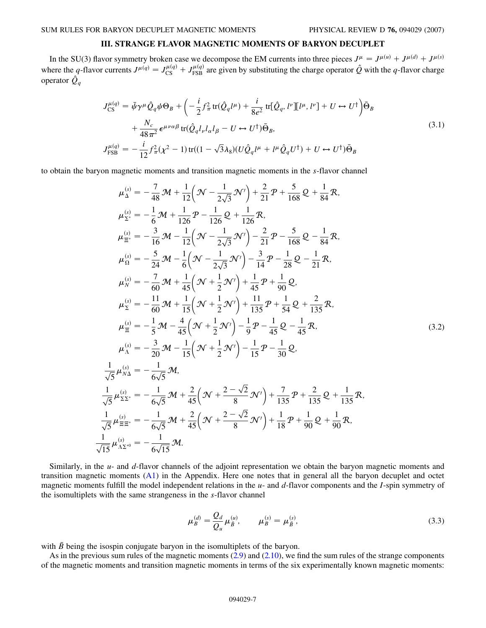# **III. STRANGE FLAVOR MAGNETIC MOMENTS OF BARYON DECUPLET**

In the SU(3) flavor symmetry broken case we decompose the EM currents into three pieces  $J^{\mu} = J^{\mu(u)} + J^{\mu(d)} + J^{\mu(s)}$ where the *q*-flavor currents  $J^{\mu(q)} = J_{CS}^{\mu(q)} + J_{FSB}^{\mu(q)}$  are given by substituting the charge operator  $\hat{Q}$  with the *q*-flavor charge operator  $\hat{Q}_q$ 

$$
J_{\text{CS}}^{\mu(q)} = \bar{\psi}\gamma^{\mu}\hat{Q}_q\psi\Theta_B + \left(-\frac{i}{2}f_{\pi}^2 \text{tr}(\hat{Q}_q l^{\mu}) + \frac{i}{8e^2} \text{tr}[\hat{Q}_q, l^{\nu}][l^{\mu}, l^{\nu}] + U \leftrightarrow U^{\dagger}\right)\bar{\Theta}_B
$$
  
+ 
$$
\frac{N_c}{48\pi^2} \epsilon^{\mu\nu\alpha\beta} \text{tr}(\hat{Q}_q l_{\nu} l_{\alpha} l_{\beta} - U \leftrightarrow U^{\dagger})\bar{\Theta}_B,
$$
  

$$
J_{\text{FSB}}^{\mu(q)} = -\frac{i}{12}f_{\pi}^2(\chi^2 - 1)\text{tr}((1 - \sqrt{3}\lambda_8)(U\hat{Q}_q l^{\mu} + l^{\mu}\hat{Q}_q U^{\dagger}) + U \leftrightarrow U^{\dagger})\bar{\Theta}_B
$$
  
(3.1)

to obtain the baryon magnetic moments and transition magnetic moments in the *s*-flavor channel

$$
\mu_{\Delta}^{(s)} = -\frac{7}{48} \mathcal{M} + \frac{1}{12} \left( \mathcal{N} - \frac{1}{2\sqrt{3}} \mathcal{N}' \right) + \frac{2}{21} \mathcal{P} + \frac{5}{168} \mathcal{Q} + \frac{1}{84} \mathcal{R},
$$
\n
$$
\mu_{\Sigma^{+}}^{(s)} = -\frac{1}{6} \mathcal{M} + \frac{1}{126} \mathcal{P} - \frac{1}{126} \mathcal{Q} + \frac{1}{126} \mathcal{R},
$$
\n
$$
\mu_{\Xi^{+}}^{(s)} = -\frac{3}{16} \mathcal{M} - \frac{1}{12} \left( \mathcal{N} - \frac{1}{2\sqrt{3}} \mathcal{N}' \right) - \frac{2}{21} \mathcal{P} - \frac{5}{168} \mathcal{Q} - \frac{1}{84} \mathcal{R},
$$
\n
$$
\mu_{\Omega}^{(s)} = -\frac{5}{24} \mathcal{M} - \frac{1}{6} \left( \mathcal{N} - \frac{1}{2\sqrt{3}} \mathcal{N}' \right) - \frac{3}{14} \mathcal{P} - \frac{1}{28} \mathcal{Q} - \frac{1}{21} \mathcal{R},
$$
\n
$$
\mu_{\chi}^{(s)} = -\frac{7}{60} \mathcal{M} + \frac{1}{45} \left( \mathcal{N} + \frac{1}{2} \mathcal{N}' \right) + \frac{1}{45} \mathcal{P} + \frac{1}{90} \mathcal{Q},
$$
\n
$$
\mu_{\Sigma}^{(s)} = -\frac{1}{60} \mathcal{M} + \frac{1}{15} \left( \mathcal{N} + \frac{1}{2} \mathcal{N}' \right) + \frac{11}{135} \mathcal{P} + \frac{1}{54} \mathcal{Q} + \frac{2}{135} \mathcal{R},
$$
\n
$$
\mu_{\Xi}^{(s)} = -\frac{1}{5} \mathcal{M} - \frac{4}{45} \left( \mathcal{N} + \frac{1}{2} \mathcal{N}' \right) - \frac{1}{9} \mathcal{P} - \frac{1}{45} \mathcal{Q} - \frac{1}{45}
$$

Similarly, in the *u*- and *d*-flavor channels of the adjoint representation we obtain the baryon magnetic moments and transition magnetic moments  $(A1)$  $(A1)$  in the Appendix. Here one notes that in general all the baryon decuplet and octet magnetic moments fulfill the model independent relations in the *u*- and *d*-flavor components and the *I*-spin symmetry of the isomultiplets with the same strangeness in the *s*-flavor channel

$$
\mu_B^{(d)} = \frac{Q_d}{Q_u} \mu_{\bar{B}}^{(u)}, \qquad \mu_B^{(s)} = \mu_{\bar{B}}^{(s)}, \tag{3.3}
$$

<span id="page-6-0"></span>with  $\bar{B}$  being the isospin conjugate baryon in the isomultiplets of the baryon.

1

As in the previous sum rules of the magnetic moments [\(2.9\)](#page-3-1) and ([2.10](#page-5-2)), we find the sum rules of the strange components of the magnetic moments and transition magnetic moments in terms of the six experimentally known magnetic moments: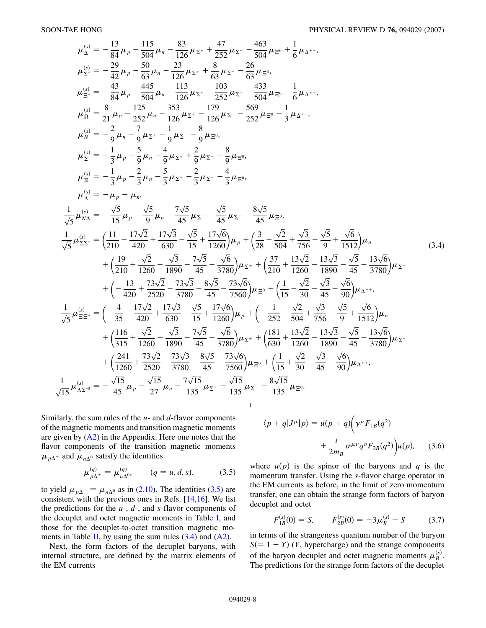$$
\mu_{\Delta}^{(s)} = -\frac{13}{84}\mu_{p} - \frac{115}{304}\mu_{n} - \frac{83}{126}\mu_{\Sigma} + \frac{47}{252}\mu_{\Sigma} - \frac{463}{504}\mu_{\Xi^{0}} + \frac{1}{6}\mu_{\Delta^{++}},
$$
\n
$$
\mu_{\Sigma'}^{(s)} = -\frac{29}{42}\mu_{p} - \frac{50}{63}\mu_{n} - \frac{23}{126}\mu_{\Sigma^{+}} + \frac{8}{63}\mu_{\Sigma^{+}} - \frac{26}{63}\mu_{\Xi^{0}},
$$
\n
$$
\mu_{\Xi'}^{(s)} = -\frac{43}{84}\mu_{p} - \frac{445}{504}\mu_{n} - \frac{113}{126}\mu_{\Sigma^{+}} - \frac{103}{252}\mu_{\Sigma} - \frac{433}{504}\mu_{\Xi^{0}} - \frac{1}{6}\mu_{\Delta^{++}},
$$
\n
$$
\mu_{0}^{(s)} = \frac{8}{21}\mu_{p} - \frac{155}{252}\mu_{n} - \frac{353}{126}\mu_{\Sigma^{+}} - \frac{179}{126}\mu_{\Sigma^{+}} - \frac{569}{252}\mu_{\Xi^{0}} - \frac{1}{3}\mu_{\Delta^{++}},
$$
\n
$$
\mu_{\chi}^{(s)} = -\frac{1}{3}\mu_{p} - \frac{5}{9}\mu_{\chi^{+}} - \frac{1}{9}\mu_{\Sigma^{+}} - \frac{8}{9}\mu_{\Xi^{0}},
$$
\n
$$
\mu_{\chi}^{(s)} = -\frac{1}{3}\mu_{p} - \frac{2}{3}\mu_{p} - \frac{4}{3}\mu_{\chi^{+}} - \frac{2}{3}\mu_{\Sigma^{+}} - \frac{8}{3}\mu_{\Xi^{0}},
$$
\n
$$
\mu_{\chi}^{(s)} = -\mu_{p} - \mu_{m},
$$
\n
$$
\frac{1}{\sqrt{5}}\mu_{\chi}^{(s)} = -\frac{\sqrt{5}}{15}\mu_{p} - \frac{\sqrt{5}}{9}\mu_{m} - \frac{7\sqrt{5}}{45}\mu_{\chi^{+}} - \frac{\sqrt{5}}{45}\mu_{\Sigma^{+}} - \frac{8\sqrt{5}}{45}\mu_{
$$

 $\sqrt{ }$ 

Similarly, the sum rules of the *u*- and *d*-flavor components of the magnetic moments and transition magnetic moments are given by  $(A2)$  $(A2)$  in the Appendix. Here one notes that the flavor components of the transition magnetic moments  $\mu_{p\Delta}$  and  $\mu_{n\Delta}$ <sup>0</sup> satisfy the identities

$$
\mu_{p\Delta^{+}}^{(q)} = \mu_{n\Delta^{0}}^{(q)}, \qquad (q = u, d, s), \tag{3.5}
$$

<span id="page-7-0"></span>to yield  $\mu_{p\Delta^+} = \mu_{n\Delta^0}$  as in ([2.10](#page-5-2)). The identities [\(3.5\)](#page-7-0) are consistent with the previous ones in Refs. [[14](#page-12-13),[16](#page-12-14)]. We list the predictions for the *u*-, *d*-, and *s*-flavor components of the decuplet and octet magnetic moments in Table [I,](#page-5-0) and those for the decuplet-to-octet transition magnetic mo-ments in Table [II](#page-5-1), by using the sum rules  $(3.4)$  and  $(A2)$ .

Next, the form factors of the decuplet baryons, with internal structure, are defined by the matrix elements of the EM currents

$$
\langle p+q|J^{\mu}|p\rangle = \bar{u}(p+q)\left(\gamma^{\mu}F_{1B}(q^2) + \frac{i}{2m_B}\sigma^{\mu\nu}q^{\nu}F_{2B}(q^2)\right)u(p), \quad (3.6)
$$

where  $u(p)$  is the spinor of the baryons and *q* is the momentum transfer. Using the *s*-flavor charge operator in the EM currents as before, in the limit of zero momentum transfer, one can obtain the strange form factors of baryon decuplet and octet

<span id="page-7-1"></span>
$$
F_{1B}^{(s)}(0) = S, \qquad F_{2B}^{(s)}(0) = -3\mu_B^{(s)} - S \tag{3.7}
$$

in terms of the strangeness quantum number of the baryon  $S(= 1 - Y)$  (*Y*, hypercharge) and the strange components of the baryon decuplet and octet magnetic moments  $\mu_B^{(s)}$ . The predictions for the strange form factors of the decuplet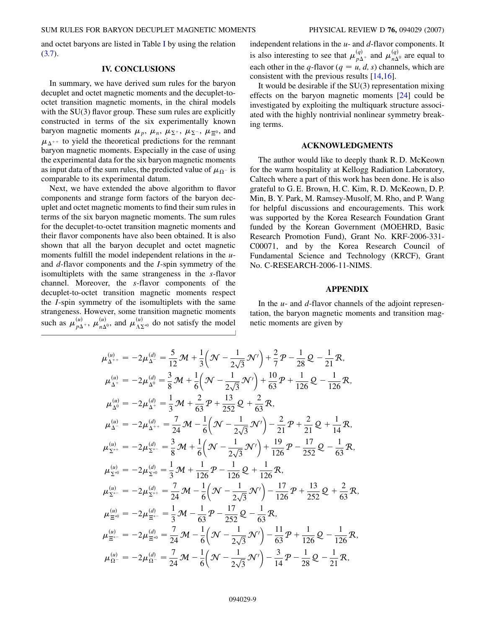and octet baryons are listed in Table [I](#page-5-0) by using the relation [\(3.7\)](#page-7-1).

### **IV. CONCLUSIONS**

In summary, we have derived sum rules for the baryon decuplet and octet magnetic moments and the decuplet-tooctet transition magnetic moments, in the chiral models with the SU(3) flavor group. These sum rules are explicitly constructed in terms of the six experimentally known baryon magnetic moments  $\mu_p$ ,  $\mu_n$ ,  $\mu_{\Sigma}$ <sup>+</sup>,  $\mu_{\Sigma}$ <sup>-</sup>,  $\mu_{\Xi}$ <sup>0</sup>, and  $\mu_{\Delta^{++}}$  to yield the theoretical predictions for the remnant baryon magnetic moments. Especially in the case of using the experimental data for the six baryon magnetic moments as input data of the sum rules, the predicted value of  $\mu_{\Omega^-}$  is comparable to its experimental datum.

Next, we have extended the above algorithm to flavor components and strange form factors of the baryon decuplet and octet magnetic moments to find their sum rules in terms of the six baryon magnetic moments. The sum rules for the decuplet-to-octet transition magnetic moments and their flavor components have also been obtained. It is also shown that all the baryon decuplet and octet magnetic moments fulfill the model independent relations in the *u*and *d*-flavor components and the *I*-spin symmetry of the isomultiplets with the same strangeness in the *s*-flavor channel. Moreover, the *s*-flavor components of the decuplet-to-octet transition magnetic moments respect the *I*-spin symmetry of the isomultiplets with the same strangeness. However, some transition magnetic moments such as  $\mu_{p\Delta^+}^{(u)}$ ,  $\mu_{n\Delta^0}^{(u)}$ , and  $\mu_{\Lambda\Sigma^*0}^{(u)}$  do not satisfy the model

independent relations in the *u*- and *d*-flavor components. It is also interesting to see that  $\mu_{p\Delta^+}^{(q)}$  and  $\mu_{n\Delta^0}^{(q)}$  are equal to each other in the *q*-flavor ( $q = u, d, s$ ) channels, which are consistent with the previous results [\[14,](#page-12-13)[16\]](#page-12-14).

It would be desirable if the SU(3) representation mixing effects on the baryon magnetic moments [[24\]](#page-12-22) could be investigated by exploiting the multiquark structure associated with the highly nontrivial nonlinear symmetry breaking terms.

# **ACKNOWLEDGMENTS**

The author would like to deeply thank R. D. McKeown for the warm hospitality at Kellogg Radiation Laboratory, Caltech where a part of this work has been done. He is also grateful to G. E. Brown, H. C. Kim, R. D. McKeown, D. P. Min, B. Y. Park, M. Ramsey-Musolf, M. Rho, and P. Wang for helpful discussions and encouragements. This work was supported by the Korea Research Foundation Grant funded by the Korean Government (MOEHRD, Basic Research Promotion Fund), Grant No. KRF-2006-331- C00071, and by the Korea Research Council of Fundamental Science and Technology (KRCF), Grant No. C-RESEARCH-2006-11-NIMS.

#### **APPENDIX**

In the *u*- and *d*-flavor channels of the adjoint representation, the baryon magnetic moments and transition magnetic moments are given by

<span id="page-8-0"></span>
$$
\mu_{\Delta^{++}}^{(u)} = -2\mu_{\Delta^{-}}^{(d)} = \frac{5}{12} \mathcal{M} + \frac{1}{3} \left( \mathcal{N} - \frac{1}{2\sqrt{3}} \mathcal{N}' \right) + \frac{2}{7} \mathcal{P} - \frac{1}{28} \mathcal{Q} - \frac{1}{21} \mathcal{R},
$$
\n
$$
\mu_{\Delta^{+}}^{(u)} = -2\mu_{\Delta^{0}}^{(d)} = \frac{3}{8} \mathcal{M} + \frac{1}{6} \left( \mathcal{N} - \frac{1}{2\sqrt{3}} \mathcal{N}' \right) + \frac{10}{63} \mathcal{P} + \frac{1}{126} \mathcal{Q} - \frac{1}{126} \mathcal{R},
$$
\n
$$
\mu_{\Delta^{0}}^{(u)} = -2\mu_{\Delta^{++}}^{(d)} = \frac{1}{3} \mathcal{M} + \frac{2}{63} \mathcal{P} + \frac{13}{252} \mathcal{Q} + \frac{2}{63} \mathcal{R},
$$
\n
$$
\mu_{\Delta^{--}}^{(u)} = -2\mu_{\Delta^{++}}^{(d)} = \frac{7}{24} \mathcal{M} - \frac{1}{6} \left( \mathcal{N} - \frac{1}{2\sqrt{3}} \mathcal{N}' \right) - \frac{2}{21} \mathcal{P} + \frac{2}{21} \mathcal{Q} + \frac{1}{14} \mathcal{R},
$$
\n
$$
\mu_{\Sigma^{++}}^{(u)} = -2\mu_{\Sigma^{+-}}^{(d)} = \frac{3}{8} \mathcal{M} + \frac{1}{6} \left( \mathcal{N} - \frac{1}{2\sqrt{3}} \mathcal{N}' \right) + \frac{19}{126} \mathcal{P} - \frac{17}{252} \mathcal{Q} - \frac{1}{63} \mathcal{R},
$$
\n
$$
\mu_{\Sigma^{*0}}^{(u)} = -2\mu_{\Sigma^{*0}}^{(d)} = \frac{1}{3} \mathcal{M} + \frac{1}{126} \mathcal{P} - \frac{1}{126} \mathcal{Q} + \frac{1}{126} \mathcal{R},
$$
\n
$$
\mu_{\Sigma^{*0}}^{(u)} = -2\mu_{\Sigma^{*0
$$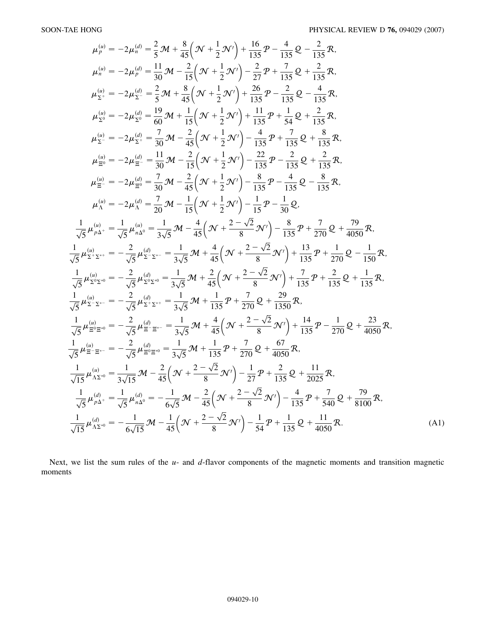$$
\mu_{p}^{(a)} = -2\mu_{n}^{(d)} = \frac{2}{5} \mathbf{M} + \frac{8}{45} \left( \mathbf{N} + \frac{1}{2} \mathbf{N}' \right) + \frac{16}{135} \mathbf{P} - \frac{4}{135} \mathbf{Q} - \frac{2}{135} \mathbf{R},
$$
\n
$$
\mu_{n}^{(a)} = -2\mu_{p}^{(d)} = \frac{11}{30} \mathbf{M} - \frac{2}{15} \left( \mathbf{N} + \frac{1}{2} \mathbf{N}' \right) - \frac{2}{27} \mathbf{P} + \frac{7}{135} \mathbf{Q} + \frac{2}{135} \mathbf{R},
$$
\n
$$
\mu_{\Sigma}^{(a)} = -2\mu_{\Sigma}^{(d)} = \frac{2}{5} \mathbf{M} + \frac{8}{45} \left( \mathbf{N} + \frac{1}{2} \mathbf{N}' \right) + \frac{26}{135} \mathbf{P} - \frac{2}{135} \mathbf{Q} - \frac{4}{135} \mathbf{R},
$$
\n
$$
\mu_{\Sigma}^{(a)} = -2\mu_{\Sigma}^{(d)} = \frac{19}{60} \mathbf{M} + \frac{1}{15} \left( \mathbf{N} + \frac{1}{2} \mathbf{N}' \right) + \frac{11}{135} \mathbf{P} + \frac{1}{34} \mathbf{Q} + \frac{2}{135} \mathbf{R},
$$
\n
$$
\mu_{\Sigma}^{(a)} = -2\mu_{\Sigma}^{(d)} = \frac{7}{30} \mathbf{M} - \frac{2}{45} \left( \mathbf{N} + \frac{1}{2} \mathbf{N}' \right) - \frac{4}{135} \mathbf{P} + \frac{7}{135} \mathbf{Q} + \frac{8}{135} \mathbf{R},
$$
\n
$$
\mu_{\Xi}^{(a)} = -2\mu_{\Xi}^{(a)} = \frac{7}{30} \mathbf{M} - \frac{2}{45} \left( \mathbf{N} + \frac{1}{2} \mathbf{N}' \right) - \frac{2}{135} \mathbf{P} - \frac{4}{135} \mathbf{Q} - \frac{8}{13
$$

Next, we list the sum rules of the *u*- and *d*-flavor components of the magnetic moments and transition magnetic moments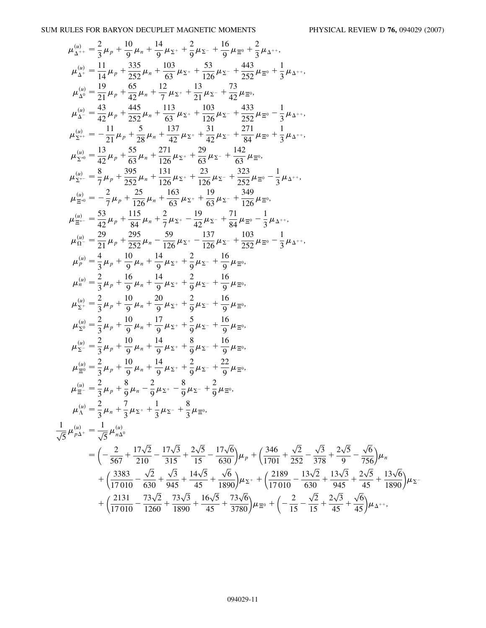SUM RULES FOR BARYON DECUPLET MAGNETIC MOMENTS PHYSICAL REVIEW D **76,** 094029 (2007)

$$
\mu_{\Delta}^{(a)} = \frac{2}{3}\mu_{p} + \frac{10}{9}\mu_{m} + \frac{14}{9}\mu_{X} + \frac{2}{9}\mu_{X} - \frac{16}{9}\mu_{E0} + \frac{2}{3}\mu_{A+}, \n\mu_{\Delta}^{(a)} = \frac{11}{14}\mu_{p} + \frac{335}{32}\mu_{a} + \frac{103}{63}\mu_{Z} + \frac{53}{126}\mu_{Z} + \frac{443}{126}\mu_{E^{0}} + \frac{1}{3}\mu_{\Delta^{++}}, \n\mu_{\Delta}^{(a)} = \frac{19}{21}\mu_{p} + \frac{65}{22}\mu_{a} + \frac{12}{12}\mu_{Z} + \frac{13}{12}\mu_{Z} + \frac{73}{42}\mu_{E^{0}}, \n\mu_{\Delta}^{(a)} = \frac{49}{42}\mu_{p} + \frac{445}{32}\mu_{a} + \frac{113}{63}\mu_{Z} + \frac{133}{126}\mu_{Z} + \frac{233}{32}\mu_{E^{0}} - \frac{1}{3}\mu_{\Delta^{++}}, \n\mu_{\Sigma^{0}}^{(a)} = \frac{11}{42}\mu_{p} + \frac{5}{32}\mu_{a} + \frac{113}{63}\mu_{Z} + \frac{131}{126}\mu_{Z} + \frac{271}{324}\mu_{Z^{0}} - \frac{1}{3}\mu_{\Delta^{++}}, \n\mu_{\Sigma^{0}}^{(a)} = \frac{13}{42}\mu_{p} + \frac{5}{53}\mu_{a} + \frac{137}{42}\mu_{Z} + \frac{31}{63}\mu_{Z} + \frac{271}{164}\mu_{E^{0}}, \n\mu_{\Sigma^{0}}^{(a)} = \frac{1}{3}\mu_{p} + \frac{395}{28}\mu_{a} + \frac{137}{426}\mu_{Z} + \frac{23}{126}\mu_{Z} + \frac{323}{126}\mu_{E^{0}}, \n\mu_{\Sigma^{0}}^{(a)} = \frac{2}{3}\mu_{p} + \frac{395}{126}\mu_{a} + \frac{13}{126}\mu_{z} + \frac{13}{126}\mu_{z} + \frac{323}{126}\
$$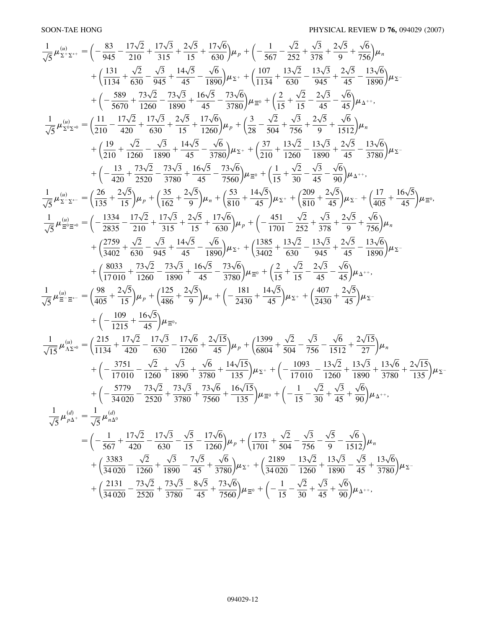<span id="page-11-0"></span>
$$
\frac{1}{\sqrt{5}}\mu_{\Sigma^{\text{V}},\Sigma^{\text{v}}}^{(n)} = \left(-\frac{83}{945}-\frac{17\sqrt{2}}{210}+\frac{17\sqrt{3}}{315}+\frac{2\sqrt{5}}{15}+\frac{17\sqrt{6}}{630}\right)\mu_{\nu}+\left(-\frac{1}{567}-\frac{\sqrt{2}}{252}+\frac{\sqrt{3}}{378}+\frac{2\sqrt{5}}{9}+\frac{\sqrt{6}}{560}\right)\mu_{\kappa} + \left(\frac{13}{1134}+\frac{13\sqrt{2}}{630}-\frac{\sqrt{3}}{945}+\frac{14\sqrt{5}}{45}-\frac{\sqrt{6}}{1890}\right)\mu_{\Sigma^{\text{v}}}+\left(\frac{103}{1134}+\frac{13\sqrt{2}}{630}-\frac{13\sqrt{3}}{345}+\frac{2\sqrt{5}}{45}-\frac{13\sqrt{6}}{1890}\right)\mu_{\Sigma^{\text{v}}} + \left(\frac{289}{5670}+\frac{14\sqrt{5}}{1260}-\frac{73\sqrt{3}}{1880}+\frac{16\sqrt{5}}{45}-\frac{73\sqrt{6}}{3780}\right)\mu_{\Sigma^{\text{v}}}+\left(\frac{2}{15}+\frac{\sqrt{2}}{15}-\frac{2\sqrt{3}}{245}-\frac{\sqrt{6}}{45}\right)\mu_{\kappa} + \left(\frac{2}{15}+\frac{\sqrt{2}}{15}-\frac{2\sqrt{3}}{245}-\frac{\sqrt{6}}{15}\right)\mu_{\kappa} + \left(\frac{29}{210}+\frac{\sqrt{2}}{1260}-\frac{\sqrt{3}}{1890}+\frac{14\sqrt{5}}{45}-\frac{\sqrt{6}}{3780}\right)\mu_{\Sigma^{\text{v}}}+\left(\frac{3}{10}+\frac{13\sqrt{2}}{1260}-\frac{13\sqrt{3}}{1890}+\frac{2\sqrt{5}}{45}-\frac{13\sqrt{6}}{1512}\right)\mu_{\kappa} + \left(\frac{19}{210}+\frac{\sqrt{2}}{1260}-\frac{\sqrt{3}}{1890}+\frac{14\sqrt{5}}{45}-\frac{\sqrt{6}}
$$